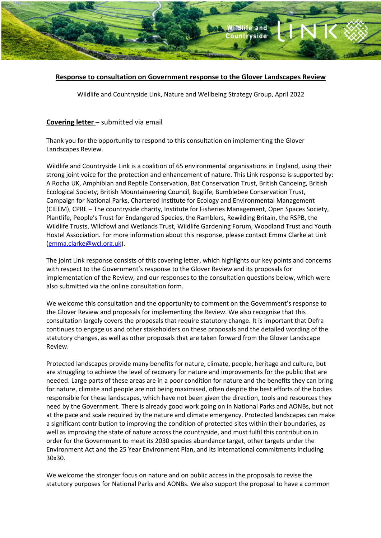

# **Response to consultation on Government response to the Glover Landscapes Review**

Wildlife and Countryside Link, Nature and Wellbeing Strategy Group, April 2022

## **Covering letter** – submitted via email

Thank you for the opportunity to respond to this consultation on implementing the Glover Landscapes Review.

Wildlife and Countryside Link is a coalition of 65 environmental organisations in England, using their strong joint voice for the protection and enhancement of nature. This Link response is supported by: A Rocha UK, Amphibian and Reptile Conservation, Bat Conservation Trust, British Canoeing, British Ecological Society, British Mountaineering Council, Buglife, Bumblebee Conservation Trust, Campaign for National Parks, Chartered Institute for Ecology and Environmental Management (CIEEM), CPRE – The countryside charity, Institute for Fisheries Management, Open Spaces Society, Plantlife, People's Trust for Endangered Species, the Ramblers, Rewilding Britain, the RSPB, the Wildlife Trusts, Wildfowl and Wetlands Trust, Wildlife Gardening Forum, Woodland Trust and Youth Hostel Association. For more information about this response, please contact Emma Clarke at Link (emma.clarke@wcl.org.uk).

The joint Link response consists of this covering letter, which highlights our key points and concerns with respect to the Government's response to the Glover Review and its proposals for implementation of the Review, and our responses to the consultation questions below, which were also submitted via the online consultation form.

We welcome this consultation and the opportunity to comment on the Government's response to the Glover Review and proposals for implementing the Review. We also recognise that this consultation largely covers the proposals that require statutory change. It is important that Defra continues to engage us and other stakeholders on these proposals and the detailed wording of the statutory changes, as well as other proposals that are taken forward from the Glover Landscape Review.

Protected landscapes provide many benefits for nature, climate, people, heritage and culture, but are struggling to achieve the level of recovery for nature and improvements for the public that are needed. Large parts of these areas are in a poor condition for nature and the benefits they can bring for nature, climate and people are not being maximised, often despite the best efforts of the bodies responsible for these landscapes, which have not been given the direction, tools and resources they need by the Government. There is already good work going on in National Parks and AONBs, but not at the pace and scale required by the nature and climate emergency. Protected landscapes can make a significant contribution to improving the condition of protected sites within their boundaries, as well as improving the state of nature across the countryside, and must fulfil this contribution in order for the Government to meet its 2030 species abundance target, other targets under the Environment Act and the 25 Year Environment Plan, and its international commitments including 30x30.

We welcome the stronger focus on nature and on public access in the proposals to revise the statutory purposes for National Parks and AONBs. We also support the proposal to have a common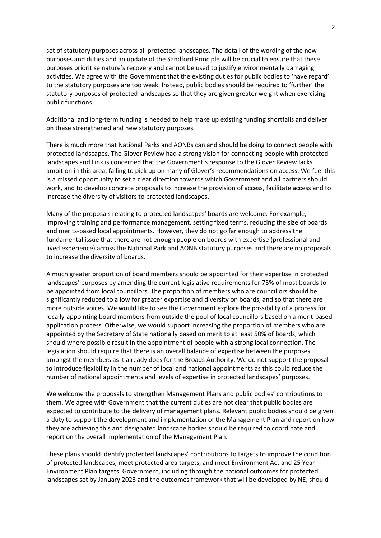set of statutory purposes across all protected landscapes. The detail of the wording of the new purposes and duties and an update of the Sandford Principle will be crucial to ensure that these purposes prioritise nature's recovery and cannot be used to justify environmentally damaging activities. We agree with the Government that the existing duties for public bodies to 'have regard' to the statutory purposes are too weak. Instead, public bodies should be required to 'further' the statutory purposes of protected landscapes so that they are given greater weight when exercising public functions.

Additional and long-term funding is needed to help make up existing funding shortfalls and deliver on these strengthened and new statutory purposes.

There is much more that National Parks and AONBs can and should be doing to connect people with protected landscapes. The Glover Review had a strong vision for connecting people with protected landscapes and Link is concerned that the Government's response to the Glover Review lacks ambition in this area, failing to pick up on many of Glover's recommendations on access. We feel this is a missed opportunity to set a clear direction towards which Government and all partners should work, and to develop concrete proposals to increase the provision of access, facilitate access and to increase the diversity of visitors to protected landscapes.

Many of the proposals relating to protected landscapes' boards are welcome. For example, improving training and performance management, setting fixed terms, reducing the size of boards and merits-based local appointments. However, they do not go far enough to address the fundamental issue that there are not enough people on boards with expertise (professional and lived experience) across the National Park and AONB statutory purposes and there are no proposals to increase the diversity of boards.

A much greater proportion of board members should be appointed for their expertise in protected landscapes' purposes by amending the current legislative requirements for 75% of most boards to be appointed from local councillors. The proportion of members who are councillors should be significantly reduced to allow for greater expertise and diversity on boards, and so that there are more outside voices. We would like to see the Government explore the possibility of a process for locally-appointing board members from outside the pool of local councillors based on a merit-based application process. Otherwise, we would support increasing the proportion of members who are appointed by the Secretary of State nationally based on merit to at least 50% of boards, which should where possible result in the appointment of people with a strong local connection. The legislation should require that there is an overall balance of expertise between the purposes amongst the members as it already does for the Broads Authority. We do not support the proposal to introduce flexibility in the number of local and national appointments as this could reduce the number of national appointments and levels of expertise in protected landscapes' purposes.

We welcome the proposals to strengthen Management Plans and public bodies' contributions to them. We agree with Government that the current duties are not clear that public bodies are expected to contribute to the delivery of management plans. Relevant public bodies should be given a duty to support the development and implementation of the Management Plan and report on how they are achieving this and designated landscape bodies should be required to coordinate and report on the overall implementation of the Management Plan.

These plans should identify protected landscapes' contributions to targets to improve the condition of protected landscapes, meet protected area targets, and meet Environment Act and 25 Year Environment Plan targets. Government, including through the national outcomes for protected landscapes set by January 2023 and the outcomes framework that will be developed by NE, should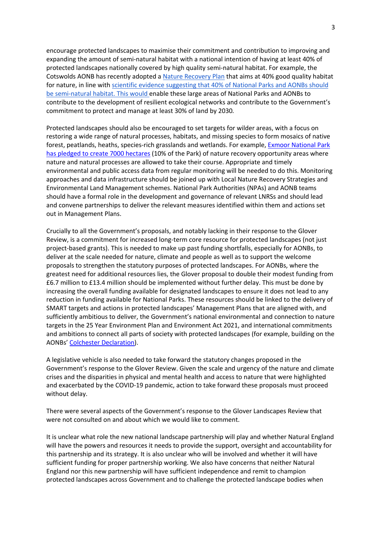encourage protected landscapes to maximise their commitment and contribution to improving and expanding the amount of semi-natural habitat with a national intention of having at least 40% of protected landscapes nationally covered by high quality semi-natural habitat. For example, the Cotswolds AONB has recently adopted a Nature Recovery Plan that aims at 40% good quality habitat for nature, in line with scientific evidence suggesting that 40% of National Parks and AONBs should be semi-natural habitat. This would enable these large areas of National Parks and AONBs to contribute to the development of resilient ecological networks and contribute to the Government's commitment to protect and manage at least 30% of land by 2030*.*

Protected landscapes should also be encouraged to set targets for wilder areas, with a focus on restoring a wide range of natural processes, habitats, and missing species to form mosaics of native forest, peatlands, heaths, species-rich grasslands and wetlands. For example, Exmoor National Park has pledged to create 7000 hectares (10% of the Park) of nature recovery opportunity areas where nature and natural processes are allowed to take their course. Appropriate and timely environmental and public access data from regular monitoring will be needed to do this. Monitoring approaches and data infrastructure should be joined up with Local Nature Recovery Strategies and Environmental Land Management schemes. National Park Authorities (NPAs) and AONB teams should have a formal role in the development and governance of relevant LNRSs and should lead and convene partnerships to deliver the relevant measures identified within them and actions set out in Management Plans.

Crucially to all the Government's proposals, and notably lacking in their response to the Glover Review, is a commitment for increased long-term core resource for protected landscapes (not just project-based grants). This is needed to make up past funding shortfalls, especially for AONBs, to deliver at the scale needed for nature, climate and people as well as to support the welcome proposals to strengthen the statutory purposes of protected landscapes. For AONBs, where the greatest need for additional resources lies, the Glover proposal to double their modest funding from £6.7 million to £13.4 million should be implemented without further delay. This must be done by increasing the overall funding available for designated landscapes to ensure it does not lead to any reduction in funding available for National Parks. These resources should be linked to the delivery of SMART targets and actions in protected landscapes' Management Plans that are aligned with, and sufficiently ambitious to deliver, the Government's national environmental and connection to nature targets in the 25 Year Environment Plan and Environment Act 2021, and international commitments and ambitions to connect all parts of society with protected landscapes (for example, building on the AONBs' Colchester Declaration).

A legislative vehicle is also needed to take forward the statutory changes proposed in the Government's response to the Glover Review. Given the scale and urgency of the nature and climate crises and the disparities in physical and mental health and access to nature that were highlighted and exacerbated by the COVID-19 pandemic, action to take forward these proposals must proceed without delay.

There were several aspects of the Government's response to the Glover Landscapes Review that were not consulted on and about which we would like to comment.

It is unclear what role the new national landscape partnership will play and whether Natural England will have the powers and resources it needs to provide the support, oversight and accountability for this partnership and its strategy. It is also unclear who will be involved and whether it will have sufficient funding for proper partnership working. We also have concerns that neither Natural England nor this new partnership will have sufficient independence and remit to champion protected landscapes across Government and to challenge the protected landscape bodies when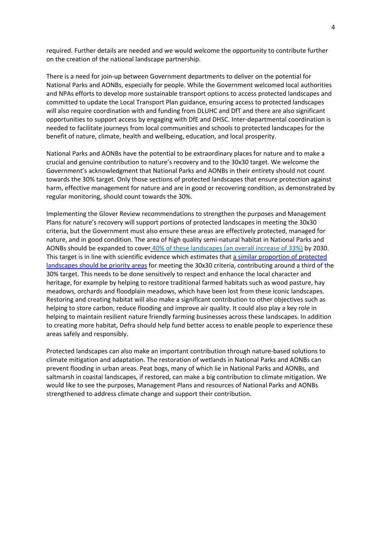required. Further details are needed and we would welcome the opportunity to contribute further on the creation of the national landscape partnership.

There is a need for join-up between Government departments to deliver on the potential for National Parks and AONBs, especially for people. While the Government welcomed local authorities and NPAs efforts to develop more sustainable transport options to access protected landscapes and committed to update the Local Transport Plan guidance, ensuring access to protected landscapes will also require coordination with and funding from DLUHC and DfT and there are also significant opportunities to support access by engaging with DfE and DHSC. Inter-departmental coordination is needed to facilitate journeys from local communities and schools to protected landscapes for the benefit of nature, climate, health and wellbeing, education, and local prosperity.

National Parks and AONBs have the potential to be extraordinary places for nature and to make a crucial and genuine contribution to nature's recovery and to the 30x30 target. We welcome the Government's acknowledgment that National Parks and AONBs in their entirety should not count towards the 30% target. Only those sections of protected landscapes that ensure protection against harm, effective management for nature and are in good or recovering condition, as demonstrated by regular monitoring, should count towards the 30%.

Implementing the Glover Review recommendations to strengthen the purposes and Management Plans for nature's recovery will support portions of protected landscapes in meeting the 30x30 criteria, but the Government must also ensure these areas are effectively protected, managed for nature, and in good condition. The area of high quality semi-natural habitat in National Parks and AONBs should be expanded to cover 40% of these landscapes (an overall increase of 33%) by 2030. This target is in line with scientific evidence which estimates that a similar proportion of protected landscapes should be priority areas for meeting the 30x30 criteria, contributing around a third of the 30% target. This needs to be done sensitively to respect and enhance the local character and heritage, for example by helping to restore traditional farmed habitats such as wood pasture, hay meadows, orchards and floodplain meadows, which have been lost from these iconic landscapes. Restoring and creating habitat will also make a significant contribution to other objectives such as helping to store carbon, reduce flooding and improve air quality. It could also play a key role in helping to maintain resilient nature friendly farming businesses across these landscapes. In addition to creating more habitat, Defra should help fund better access to enable people to experience these areas safely and responsibly.

Protected landscapes can also make an important contribution through nature-based solutions to climate mitigation and adaptation. The restoration of wetlands in National Parks and AONBs can prevent flooding in urban areas. Peat bogs, many of which lie in National Parks and AONBs, and saltmarsh in coastal landscapes, if restored, can make a big contribution to climate mitigation. We would like to see the purposes, Management Plans and resources of National Parks and AONBs strengthened to address climate change and support their contribution.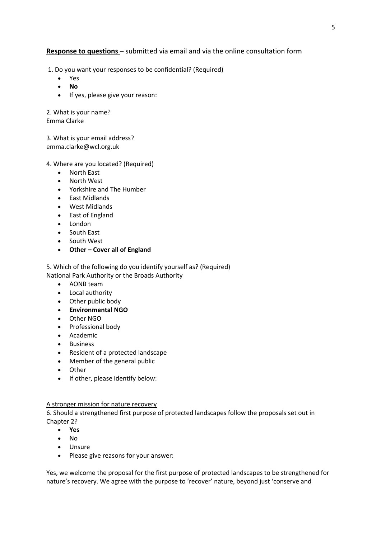# **Response to questions** – submitted via email and via the online consultation form

1. Do you want your responses to be confidential? (Required)

- Yes
- **No**
- If yes, please give your reason:

2. What is your name? Emma Clarke

3. What is your email address? emma.clarke@wcl.org.uk

### 4. Where are you located? (Required)

- North East
- North West
- Yorkshire and The Humber
- East Midlands
- West Midlands
- East of England
- London
- South East
- South West
- **Other – Cover all of England**

5. Which of the following do you identify yourself as? (Required) National Park Authority or the Broads Authority

- AONB team
- Local authority
- Other public body
- **Environmental NGO**
- Other NGO
- Professional body
- Academic
- **Business**
- Resident of a protected landscape
- Member of the general public
- Other
- If other, please identify below:

### A stronger mission for nature recovery

6. Should a strengthened first purpose of protected landscapes follow the proposals set out in Chapter 2?

- **Yes**
- No
- Unsure
- Please give reasons for your answer:

Yes, we welcome the proposal for the first purpose of protected landscapes to be strengthened for nature's recovery. We agree with the purpose to 'recover' nature, beyond just 'conserve and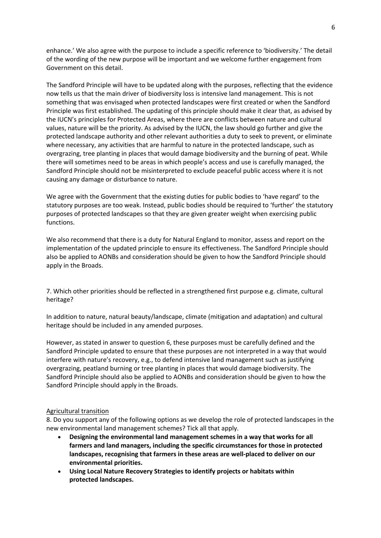enhance.' We also agree with the purpose to include a specific reference to 'biodiversity.' The detail of the wording of the new purpose will be important and we welcome further engagement from Government on this detail.

The Sandford Principle will have to be updated along with the purposes, reflecting that the evidence now tells us that the main driver of biodiversity loss is intensive land management. This is not something that was envisaged when protected landscapes were first created or when the Sandford Principle was first established. The updating of this principle should make it clear that, as advised by the IUCN's principles for Protected Areas, where there are conflicts between nature and cultural values, nature will be the priority. As advised by the IUCN, the law should go further and give the protected landscape authority and other relevant authorities a duty to seek to prevent, or eliminate where necessary, any activities that are harmful to nature in the protected landscape, such as overgrazing, tree planting in places that would damage biodiversity and the burning of peat. While there will sometimes need to be areas in which people's access and use is carefully managed, the Sandford Principle should not be misinterpreted to exclude peaceful public access where it is not causing any damage or disturbance to nature.

We agree with the Government that the existing duties for public bodies to 'have regard' to the statutory purposes are too weak. Instead, public bodies should be required to 'further' the statutory purposes of protected landscapes so that they are given greater weight when exercising public functions.

We also recommend that there is a duty for Natural England to monitor, assess and report on the implementation of the updated principle to ensure its effectiveness. The Sandford Principle should also be applied to AONBs and consideration should be given to how the Sandford Principle should apply in the Broads.

7. Which other priorities should be reflected in a strengthened first purpose e.g. climate, cultural heritage?

In addition to nature, natural beauty/landscape, climate (mitigation and adaptation) and cultural heritage should be included in any amended purposes.

However, as stated in answer to question 6, these purposes must be carefully defined and the Sandford Principle updated to ensure that these purposes are not interpreted in a way that would interfere with nature's recovery, e.g., to defend intensive land management such as justifying overgrazing, peatland burning or tree planting in places that would damage biodiversity. The Sandford Principle should also be applied to AONBs and consideration should be given to how the Sandford Principle should apply in the Broads.

#### Agricultural transition

8. Do you support any of the following options as we develop the role of protected landscapes in the new environmental land management schemes? Tick all that apply.

- **Designing the environmental land management schemes in a way that works for all farmers and land managers, including the specific circumstances for those in protected landscapes, recognising that farmers in these areas are well-placed to deliver on our environmental priorities.**
- **Using Local Nature Recovery Strategies to identify projects or habitats within protected landscapes.**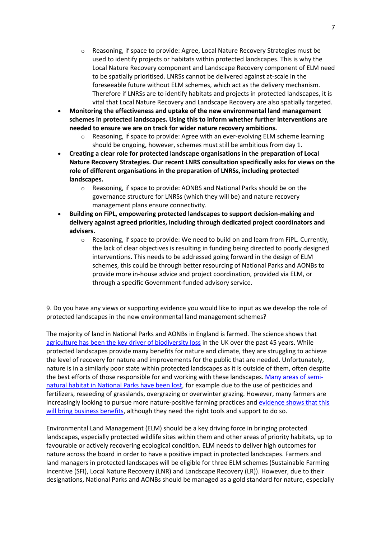- o Reasoning, if space to provide: Agree, Local Nature Recovery Strategies must be used to identify projects or habitats within protected landscapes. This is why the Local Nature Recovery component and Landscape Recovery component of ELM need to be spatially prioritised. LNRSs cannot be delivered against at-scale in the foreseeable future without ELM schemes, which act as the delivery mechanism. Therefore if LNRSs are to identify habitats and projects in protected landscapes, it is vital that Local Nature Recovery and Landscape Recovery are also spatially targeted.
- **Monitoring the effectiveness and uptake of the new environmental land management schemes in protected landscapes. Using this to inform whether further interventions are needed to ensure we are on track for wider nature recovery ambitions.**
	- $\circ$  Reasoning, if space to provide: Agree with an ever-evolving ELM scheme learning should be ongoing, however, schemes must still be ambitious from day 1.
- **Creating a clear role for protected landscape organisations in the preparation of Local Nature Recovery Strategies. Our recent LNRS consultation specifically asks for views on the role of different organisations in the preparation of LNRSs, including protected landscapes.**
	- $\circ$  Reasoning, if space to provide: AONBS and National Parks should be on the governance structure for LNRSs (which they will be) and nature recovery management plans ensure connectivity.
- **Building on FiPL, empowering protected landscapes to support decision-making and delivery against agreed priorities, including through dedicated project coordinators and advisers.**
	- $\circ$  Reasoning, if space to provide: We need to build on and learn from FiPL. Currently, the lack of clear objectives is resulting in funding being directed to poorly designed interventions. This needs to be addressed going forward in the design of ELM schemes, this could be through better resourcing of National Parks and AONBs to provide more in-house advice and project coordination, provided via ELM, or through a specific Government-funded advisory service.

9. Do you have any views or supporting evidence you would like to input as we develop the role of protected landscapes in the new environmental land management schemes?

The majority of land in National Parks and AONBs in England is farmed. The science shows that agriculture has been the key driver of biodiversity loss in the UK over the past 45 years. While protected landscapes provide many benefits for nature and climate, they are struggling to achieve the level of recovery for nature and improvements for the public that are needed. Unfortunately, nature is in a similarly poor state within protected landscapes as it is outside of them, often despite the best efforts of those responsible for and working with these landscapes. Many areas of seminatural habitat in National Parks have been lost, for example due to the use of pesticides and fertilizers, reseeding of grasslands, overgrazing or overwinter grazing. However, many farmers are increasingly looking to pursue more nature-positive farming practices and evidence shows that this will bring business benefits, although they need the right tools and support to do so.

Environmental Land Management (ELM) should be a key driving force in bringing protected landscapes, especially protected wildlife sites within them and other areas of priority habitats, up to favourable or actively recovering ecological condition. ELM needs to deliver high outcomes for nature across the board in order to have a positive impact in protected landscapes. Farmers and land managers in protected landscapes will be eligible for three ELM schemes (Sustainable Farming Incentive (SFI), Local Nature Recovery (LNR) and Landscape Recovery (LR)). However, due to their designations, National Parks and AONBs should be managed as a gold standard for nature, especially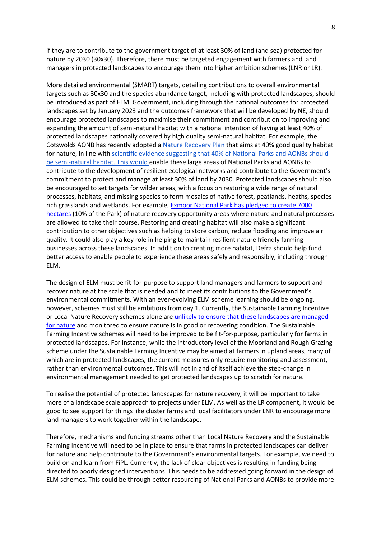if they are to contribute to the government target of at least 30% of land (and sea) protected for nature by 2030 (30x30). Therefore, there must be targeted engagement with farmers and land managers in protected landscapes to encourage them into higher ambition schemes (LNR or LR).

More detailed environmental (SMART) targets, detailing contributions to overall environmental targets such as 30x30 and the species abundance target, including with protected landscapes, should be introduced as part of ELM. Government, including through the national outcomes for protected landscapes set by January 2023 and the outcomes framework that will be developed by NE, should encourage protected landscapes to maximise their commitment and contribution to improving and expanding the amount of semi-natural habitat with a national intention of having at least 40% of protected landscapes nationally covered by high quality semi-natural habitat. For example, the Cotswolds AONB has recently adopted a Nature Recovery Plan that aims at 40% good quality habitat for nature, in line with scientific evidence suggesting that 40% of National Parks and AONBs should be semi-natural habitat. This would enable these large areas of National Parks and AONBs to contribute to the development of resilient ecological networks and contribute to the Government's commitment to protect and manage at least 30% of land by 2030*.* Protected landscapes should also be encouraged to set targets for wilder areas, with a focus on restoring a wide range of natural processes, habitats, and missing species to form mosaics of native forest, peatlands, heaths, speciesrich grasslands and wetlands. For example, Exmoor National Park has pledged to create 7000 hectares (10% of the Park) of nature recovery opportunity areas where nature and natural processes are allowed to take their course. Restoring and creating habitat will also make a significant contribution to other objectives such as helping to store carbon, reduce flooding and improve air quality. It could also play a key role in helping to maintain resilient nature friendly farming businesses across these landscapes. In addition to creating more habitat, Defra should help fund better access to enable people to experience these areas safely and responsibly, including through ELM.

The design of ELM must be fit-for-purpose to support land managers and farmers to support and recover nature at the scale that is needed and to meet its contributions to the Government's environmental commitments. With an ever-evolving ELM scheme learning should be ongoing, however, schemes must still be ambitious from day 1. Currently, the Sustainable Farming Incentive or Local Nature Recovery schemes alone are unlikely to ensure that these landscapes are managed for nature and monitored to ensure nature is in good or recovering condition. The Sustainable Farming Incentive schemes will need to be improved to be fit-for-purpose, particularly for farms in protected landscapes. For instance, while the introductory level of the Moorland and Rough Grazing scheme under the Sustainable Farming Incentive may be aimed at farmers in upland areas, many of which are in protected landscapes, the current measures only require monitoring and assessment, rather than environmental outcomes. This will not in and of itself achieve the step-change in environmental management needed to get protected landscapes up to scratch for nature.

To realise the potential of protected landscapes for nature recovery, it will be important to take more of a landscape scale approach to projects under ELM. As well as the LR component, it would be good to see support for things like cluster farms and local facilitators under LNR to encourage more land managers to work together within the landscape.

Therefore, mechanisms and funding streams other than Local Nature Recovery and the Sustainable Farming Incentive will need to be in place to ensure that farms in protected landscapes can deliver for nature and help contribute to the Government's environmental targets. For example, we need to build on and learn from FiPL. Currently, the lack of clear objectives is resulting in funding being directed to poorly designed interventions. This needs to be addressed going forward in the design of ELM schemes. This could be through better resourcing of National Parks and AONBs to provide more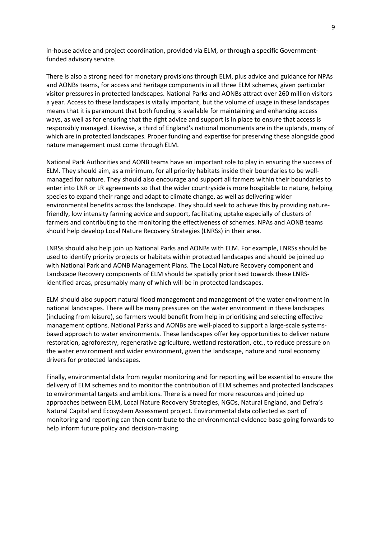in-house advice and project coordination, provided via ELM, or through a specific Governmentfunded advisory service.

There is also a strong need for monetary provisions through ELM, plus advice and guidance for NPAs and AONBs teams, for access and heritage components in all three ELM schemes, given particular visitor pressures in protected landscapes. National Parks and AONBs attract over 260 million visitors a year. Access to these landscapes is vitally important, but the volume of usage in these landscapes means that it is paramount that both funding is available for maintaining and enhancing access ways, as well as for ensuring that the right advice and support is in place to ensure that access is responsibly managed. Likewise, a third of England's national monuments are in the uplands, many of which are in protected landscapes. Proper funding and expertise for preserving these alongside good nature management must come through ELM.

National Park Authorities and AONB teams have an important role to play in ensuring the success of ELM. They should aim, as a minimum, for all priority habitats inside their boundaries to be wellmanaged for nature. They should also encourage and support all farmers within their boundaries to enter into LNR or LR agreements so that the wider countryside is more hospitable to nature, helping species to expand their range and adapt to climate change, as well as delivering wider environmental benefits across the landscape. They should seek to achieve this by providing naturefriendly, low intensity farming advice and support, facilitating uptake especially of clusters of farmers and contributing to the monitoring the effectiveness of schemes. NPAs and AONB teams should help develop Local Nature Recovery Strategies (LNRSs) in their area.

LNRSs should also help join up National Parks and AONBs with ELM. For example, LNRSs should be used to identify priority projects or habitats within protected landscapes and should be joined up with National Park and AONB Management Plans. The Local Nature Recovery component and Landscape Recovery components of ELM should be spatially prioritised towards these LNRSidentified areas, presumably many of which will be in protected landscapes.

ELM should also support natural flood management and management of the water environment in national landscapes. There will be many pressures on the water environment in these landscapes (including from leisure), so farmers would benefit from help in prioritising and selecting effective management options. National Parks and AONBs are well-placed to support a large-scale systemsbased approach to water environments. These landscapes offer key opportunities to deliver nature restoration, agroforestry, regenerative agriculture, wetland restoration, etc., to reduce pressure on the water environment and wider environment, given the landscape, nature and rural economy drivers for protected landscapes.

Finally, environmental data from regular monitoring and for reporting will be essential to ensure the delivery of ELM schemes and to monitor the contribution of ELM schemes and protected landscapes to environmental targets and ambitions. There is a need for more resources and joined up approaches between ELM, Local Nature Recovery Strategies, NGOs, Natural England, and Defra's Natural Capital and Ecosystem Assessment project. Environmental data collected as part of monitoring and reporting can then contribute to the environmental evidence base going forwards to help inform future policy and decision-making.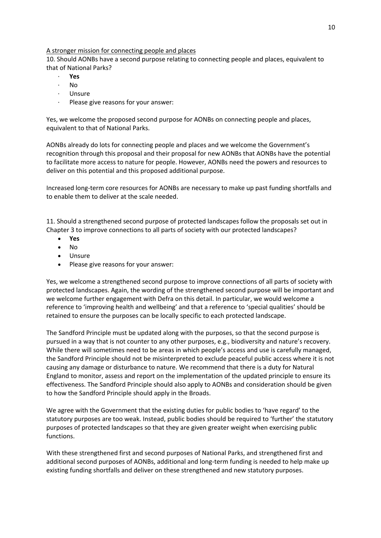# A stronger mission for connecting people and places

10. Should AONBs have a second purpose relating to connecting people and places, equivalent to that of National Parks?

- · **Yes**
- $N<sub>0</sub>$
- · Unsure
- Please give reasons for your answer:

Yes, we welcome the proposed second purpose for AONBs on connecting people and places, equivalent to that of National Parks.

AONBs already do lots for connecting people and places and we welcome the Government's recognition through this proposal and their proposal for new AONBs that AONBs have the potential to facilitate more access to nature for people. However, AONBs need the powers and resources to deliver on this potential and this proposed additional purpose.

Increased long-term core resources for AONBs are necessary to make up past funding shortfalls and to enable them to deliver at the scale needed.

11. Should a strengthened second purpose of protected landscapes follow the proposals set out in Chapter 3 to improve connections to all parts of society with our protected landscapes?

- **Yes**
- No
- Unsure
- Please give reasons for your answer:

Yes, we welcome a strengthened second purpose to improve connections of all parts of society with protected landscapes. Again, the wording of the strengthened second purpose will be important and we welcome further engagement with Defra on this detail. In particular, we would welcome a reference to 'improving health and wellbeing' and that a reference to 'special qualities' should be retained to ensure the purposes can be locally specific to each protected landscape.

The Sandford Principle must be updated along with the purposes, so that the second purpose is pursued in a way that is not counter to any other purposes, e.g., biodiversity and nature's recovery. While there will sometimes need to be areas in which people's access and use is carefully managed, the Sandford Principle should not be misinterpreted to exclude peaceful public access where it is not causing any damage or disturbance to nature. We recommend that there is a duty for Natural England to monitor, assess and report on the implementation of the updated principle to ensure its effectiveness. The Sandford Principle should also apply to AONBs and consideration should be given to how the Sandford Principle should apply in the Broads.

We agree with the Government that the existing duties for public bodies to 'have regard' to the statutory purposes are too weak. Instead, public bodies should be required to 'further' the statutory purposes of protected landscapes so that they are given greater weight when exercising public functions.

With these strengthened first and second purposes of National Parks, and strengthened first and additional second purposes of AONBs, additional and long-term funding is needed to help make up existing funding shortfalls and deliver on these strengthened and new statutory purposes.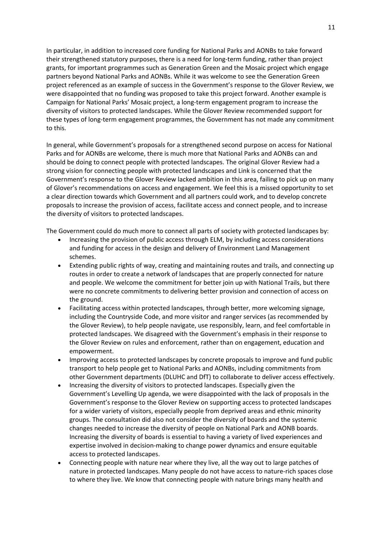In particular, in addition to increased core funding for National Parks and AONBs to take forward their strengthened statutory purposes, there is a need for long-term funding, rather than project grants, for important programmes such as Generation Green and the Mosaic project which engage partners beyond National Parks and AONBs. While it was welcome to see the Generation Green project referenced as an example of success in the Government's response to the Glover Review, we were disappointed that no funding was proposed to take this project forward. Another example is Campaign for National Parks' Mosaic project, a long-term engagement program to increase the diversity of visitors to protected landscapes. While the Glover Review recommended support for these types of long-term engagement programmes, the Government has not made any commitment to this.

In general, while Government's proposals for a strengthened second purpose on access for National Parks and for AONBs are welcome, there is much more that National Parks and AONBs can and should be doing to connect people with protected landscapes. The original Glover Review had a strong vision for connecting people with protected landscapes and Link is concerned that the Government's response to the Glover Review lacked ambition in this area, failing to pick up on many of Glover's recommendations on access and engagement. We feel this is a missed opportunity to set a clear direction towards which Government and all partners could work, and to develop concrete proposals to increase the provision of access, facilitate access and connect people, and to increase the diversity of visitors to protected landscapes.

The Government could do much more to connect all parts of society with protected landscapes by:

- Increasing the provision of public access through ELM, by including access considerations and funding for access in the design and delivery of Environment Land Management schemes.
- Extending public rights of way, creating and maintaining routes and trails, and connecting up routes in order to create a network of landscapes that are properly connected for nature and people. We welcome the commitment for better join up with National Trails, but there were no concrete commitments to delivering better provision and connection of access on the ground.
- Facilitating access within protected landscapes, through better, more welcoming signage, including the Countryside Code, and more visitor and ranger services (as recommended by the Glover Review), to help people navigate, use responsibly, learn, and feel comfortable in protected landscapes. We disagreed with the Government's emphasis in their response to the Glover Review on rules and enforcement, rather than on engagement, education and empowerment.
- Improving access to protected landscapes by concrete proposals to improve and fund public transport to help people get to National Parks and AONBs, including commitments from other Government departments (DLUHC and DfT) to collaborate to deliver access effectively.
- Increasing the diversity of visitors to protected landscapes. Especially given the Government's Levelling Up agenda, we were disappointed with the lack of proposals in the Government's response to the Glover Review on supporting access to protected landscapes for a wider variety of visitors, especially people from deprived areas and ethnic minority groups. The consultation did also not consider the diversity of boards and the systemic changes needed to increase the diversity of people on National Park and AONB boards. Increasing the diversity of boards is essential to having a variety of lived experiences and expertise involved in decision-making to change power dynamics and ensure equitable access to protected landscapes.
- Connecting people with nature near where they live, all the way out to large patches of nature in protected landscapes. Many people do not have access to nature-rich spaces close to where they live. We know that connecting people with nature brings many health and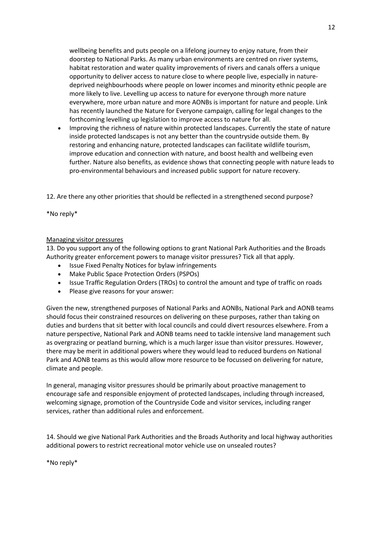wellbeing benefits and puts people on a lifelong journey to enjoy nature, from their doorstep to National Parks. As many urban environments are centred on river systems, habitat restoration and water quality improvements of rivers and canals offers a unique opportunity to deliver access to nature close to where people live, especially in naturedeprived neighbourhoods where people on lower incomes and minority ethnic people are more likely to live. Levelling up access to nature for everyone through more nature everywhere, more urban nature and more AONBs is important for nature and people. Link has recently launched the Nature for Everyone campaign, calling for legal changes to the forthcoming levelling up legislation to improve access to nature for all.

• Improving the richness of nature within protected landscapes. Currently the state of nature inside protected landscapes is not any better than the countryside outside them. By restoring and enhancing nature, protected landscapes can facilitate wildlife tourism, improve education and connection with nature, and boost health and wellbeing even further. Nature also benefits, as evidence shows that connecting people with nature leads to pro-environmental behaviours and increased public support for nature recovery.

12. Are there any other priorities that should be reflected in a strengthened second purpose?

\*No reply\*

### Managing visitor pressures

13. Do you support any of the following options to grant National Park Authorities and the Broads Authority greater enforcement powers to manage visitor pressures? Tick all that apply.

- Issue Fixed Penalty Notices for bylaw infringements
- Make Public Space Protection Orders (PSPOs)
- Issue Traffic Regulation Orders (TROs) to control the amount and type of traffic on roads
- Please give reasons for your answer:

Given the new, strengthened purposes of National Parks and AONBs, National Park and AONB teams should focus their constrained resources on delivering on these purposes, rather than taking on duties and burdens that sit better with local councils and could divert resources elsewhere. From a nature perspective, National Park and AONB teams need to tackle intensive land management such as overgrazing or peatland burning, which is a much larger issue than visitor pressures. However, there may be merit in additional powers where they would lead to reduced burdens on National Park and AONB teams as this would allow more resource to be focussed on delivering for nature, climate and people.

In general, managing visitor pressures should be primarily about proactive management to encourage safe and responsible enjoyment of protected landscapes, including through increased, welcoming signage, promotion of the Countryside Code and visitor services, including ranger services, rather than additional rules and enforcement.

14. Should we give National Park Authorities and the Broads Authority and local highway authorities additional powers to restrict recreational motor vehicle use on unsealed routes?

\*No reply\*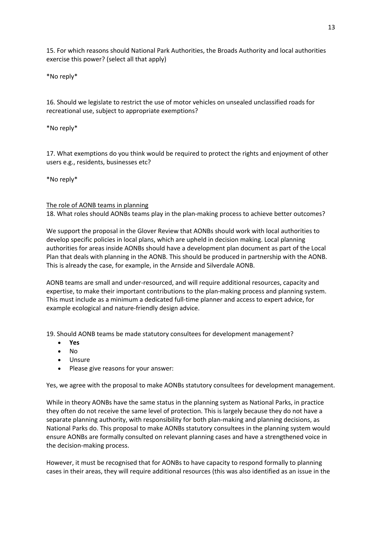15. For which reasons should National Park Authorities, the Broads Authority and local authorities exercise this power? (select all that apply)

\*No reply\*

16. Should we legislate to restrict the use of motor vehicles on unsealed unclassified roads for recreational use, subject to appropriate exemptions?

\*No reply\*

17. What exemptions do you think would be required to protect the rights and enjoyment of other users e.g., residents, businesses etc?

\*No reply\*

### The role of AONB teams in planning

18. What roles should AONBs teams play in the plan-making process to achieve better outcomes?

We support the proposal in the Glover Review that AONBs should work with local authorities to develop specific policies in local plans, which are upheld in decision making. Local planning authorities for areas inside AONBs should have a development plan document as part of the Local Plan that deals with planning in the AONB. This should be produced in partnership with the AONB. This is already the case, for example, in the Arnside and Silverdale AONB.

AONB teams are small and under-resourced, and will require additional resources, capacity and expertise, to make their important contributions to the plan-making process and planning system. This must include as a minimum a dedicated full-time planner and access to expert advice, for example ecological and nature-friendly design advice.

19. Should AONB teams be made statutory consultees for development management?

- **Yes**
- No
- Unsure
- Please give reasons for your answer:

Yes, we agree with the proposal to make AONBs statutory consultees for development management.

While in theory AONBs have the same status in the planning system as National Parks, in practice they often do not receive the same level of protection. This is largely because they do not have a separate planning authority, with responsibility for both plan-making and planning decisions, as National Parks do. This proposal to make AONBs statutory consultees in the planning system would ensure AONBs are formally consulted on relevant planning cases and have a strengthened voice in the decision-making process.

However, it must be recognised that for AONBs to have capacity to respond formally to planning cases in their areas, they will require additional resources (this was also identified as an issue in the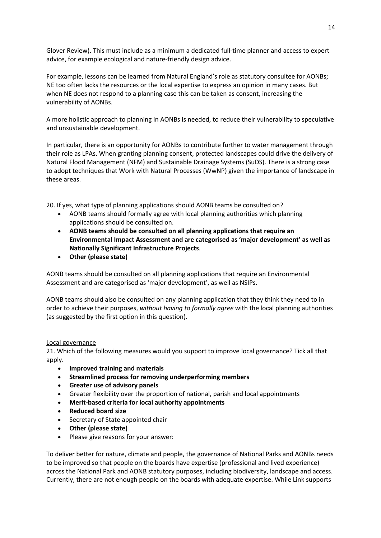Glover Review). This must include as a minimum a dedicated full-time planner and access to expert advice, for example ecological and nature-friendly design advice.

For example, lessons can be learned from Natural England's role as statutory consultee for AONBs; NE too often lacks the resources or the local expertise to express an opinion in many cases. But when NE does not respond to a planning case this can be taken as consent, increasing the vulnerability of AONBs.

A more holistic approach to planning in AONBs is needed, to reduce their vulnerability to speculative and unsustainable development.

In particular, there is an opportunity for AONBs to contribute further to water management through their role as LPAs. When granting planning consent, protected landscapes could drive the delivery of Natural Flood Management (NFM) and Sustainable Drainage Systems (SuDS). There is a strong case to adopt techniques that Work with Natural Processes (WwNP) given the importance of landscape in these areas.

20. If yes, what type of planning applications should AONB teams be consulted on?

- AONB teams should formally agree with local planning authorities which planning applications should be consulted on.
- **AONB teams should be consulted on all planning applications that require an Environmental Impact Assessment and are categorised as 'major development' as well as Nationally Significant Infrastructure Projects**.
- **Other (please state)**

AONB teams should be consulted on all planning applications that require an Environmental Assessment and are categorised as 'major development', as well as NSIPs.

AONB teams should also be consulted on any planning application that they think they need to in order to achieve their purposes, *without having to formally agree* with the local planning authorities (as suggested by the first option in this question).

### Local governance

21. Which of the following measures would you support to improve local governance? Tick all that apply.

- **Improved training and materials**
- **Streamlined process for removing underperforming members**
- **Greater use of advisory panels**
- Greater flexibility over the proportion of national, parish and local appointments
- **Merit-based criteria for local authority appointments**
- **Reduced board size**
- Secretary of State appointed chair
- **Other (please state)**
- Please give reasons for your answer:

To deliver better for nature, climate and people, the governance of National Parks and AONBs needs to be improved so that people on the boards have expertise (professional and lived experience) across the National Park and AONB statutory purposes, including biodiversity, landscape and access. Currently, there are not enough people on the boards with adequate expertise. While Link supports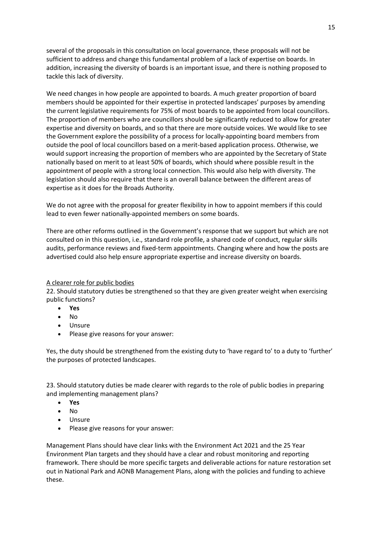several of the proposals in this consultation on local governance, these proposals will not be sufficient to address and change this fundamental problem of a lack of expertise on boards. In addition, increasing the diversity of boards is an important issue, and there is nothing proposed to tackle this lack of diversity.

We need changes in how people are appointed to boards. A much greater proportion of board members should be appointed for their expertise in protected landscapes' purposes by amending the current legislative requirements for 75% of most boards to be appointed from local councillors. The proportion of members who are councillors should be significantly reduced to allow for greater expertise and diversity on boards, and so that there are more outside voices. We would like to see the Government explore the possibility of a process for locally-appointing board members from outside the pool of local councillors based on a merit-based application process. Otherwise, we would support increasing the proportion of members who are appointed by the Secretary of State nationally based on merit to at least 50% of boards, which should where possible result in the appointment of people with a strong local connection. This would also help with diversity. The legislation should also require that there is an overall balance between the different areas of expertise as it does for the Broads Authority.

We do not agree with the proposal for greater flexibility in how to appoint members if this could lead to even fewer nationally-appointed members on some boards.

There are other reforms outlined in the Government's response that we support but which are not consulted on in this question, i.e., standard role profile, a shared code of conduct, regular skills audits, performance reviews and fixed-term appointments. Changing where and how the posts are advertised could also help ensure appropriate expertise and increase diversity on boards.

### A clearer role for public bodies

22. Should statutory duties be strengthened so that they are given greater weight when exercising public functions?

- **Yes**
- No
- Unsure
- Please give reasons for your answer:

Yes, the duty should be strengthened from the existing duty to 'have regard to' to a duty to 'further' the purposes of protected landscapes.

23. Should statutory duties be made clearer with regards to the role of public bodies in preparing and implementing management plans?

- **Yes**
- No
- Unsure
- Please give reasons for your answer:

Management Plans should have clear links with the Environment Act 2021 and the 25 Year Environment Plan targets and they should have a clear and robust monitoring and reporting framework. There should be more specific targets and deliverable actions for nature restoration set out in National Park and AONB Management Plans, along with the policies and funding to achieve these.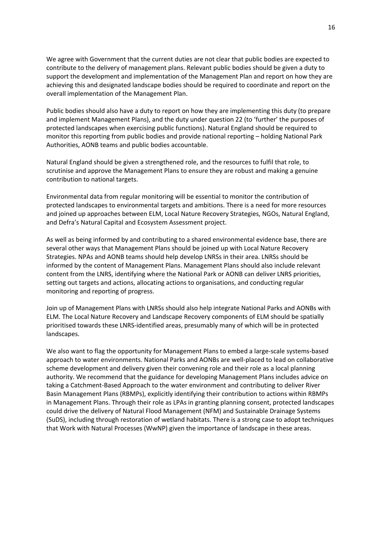We agree with Government that the current duties are not clear that public bodies are expected to contribute to the delivery of management plans. Relevant public bodies should be given a duty to support the development and implementation of the Management Plan and report on how they are achieving this and designated landscape bodies should be required to coordinate and report on the overall implementation of the Management Plan.

Public bodies should also have a duty to report on how they are implementing this duty (to prepare and implement Management Plans), and the duty under question 22 (to 'further' the purposes of protected landscapes when exercising public functions). Natural England should be required to monitor this reporting from public bodies and provide national reporting – holding National Park Authorities, AONB teams and public bodies accountable.

Natural England should be given a strengthened role, and the resources to fulfil that role, to scrutinise and approve the Management Plans to ensure they are robust and making a genuine contribution to national targets.

Environmental data from regular monitoring will be essential to monitor the contribution of protected landscapes to environmental targets and ambitions. There is a need for more resources and joined up approaches between ELM, Local Nature Recovery Strategies, NGOs, Natural England, and Defra's Natural Capital and Ecosystem Assessment project.

As well as being informed by and contributing to a shared environmental evidence base, there are several other ways that Management Plans should be joined up with Local Nature Recovery Strategies. NPAs and AONB teams should help develop LNRSs in their area. LNRSs should be informed by the content of Management Plans. Management Plans should also include relevant content from the LNRS, identifying where the National Park or AONB can deliver LNRS priorities, setting out targets and actions, allocating actions to organisations, and conducting regular monitoring and reporting of progress.

Join up of Management Plans with LNRSs should also help integrate National Parks and AONBs with ELM. The Local Nature Recovery and Landscape Recovery components of ELM should be spatially prioritised towards these LNRS-identified areas, presumably many of which will be in protected landscapes.

We also want to flag the opportunity for Management Plans to embed a large-scale systems-based approach to water environments. National Parks and AONBs are well-placed to lead on collaborative scheme development and delivery given their convening role and their role as a local planning authority. We recommend that the guidance for developing Management Plans includes advice on taking a Catchment-Based Approach to the water environment and contributing to deliver River Basin Management Plans (RBMPs), explicitly identifying their contribution to actions within RBMPs in Management Plans. Through their role as LPAs in granting planning consent, protected landscapes could drive the delivery of Natural Flood Management (NFM) and Sustainable Drainage Systems (SuDS), including through restoration of wetland habitats. There is a strong case to adopt techniques that Work with Natural Processes (WwNP) given the importance of landscape in these areas.